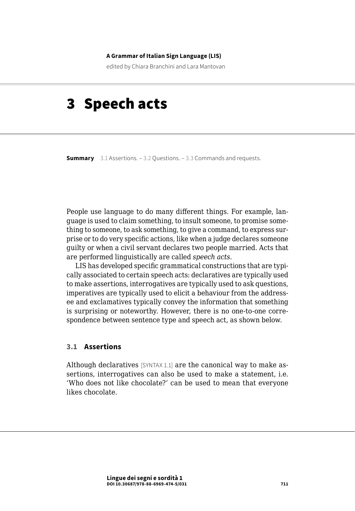#### **A Grammar of Italian Sign Language (LIS)**

edited by Chiara Branchini and Lara Mantovan

# 3 Speech acts

**Summary** 3.1 Assertions[. – 3.2 Questions.](#page-1-0) – [3.3 Commands and requests](#page-1-0).

People use language to do many different things. For example, language is used to claim something, to insult someone, to promise something to someone, to ask something, to give a command, to express surprise or to do very specific actions, like when a judge declares someone guilty or when a civil servant declares two people married. Acts that are performed linguistically are called *speech acts*.

LIS has developed specific grammatical constructions that are typically associated to certain speech acts: declaratives are typically used to make assertions, interrogatives are typically used to ask questions, imperatives are typically used to elicit a behaviour from the addressee and exclamatives typically convey the information that something is surprising or noteworthy. However, there is no one-to-one correspondence between sentence type and speech act, as shown below.

### **3.1 Assertions**

Although declaratives [SYNTAX 1.1] are the canonical way to make assertions, interrogatives can also be used to make a statement, i.e. 'Who does not like chocolate?' can be used to mean that everyone likes chocolate.